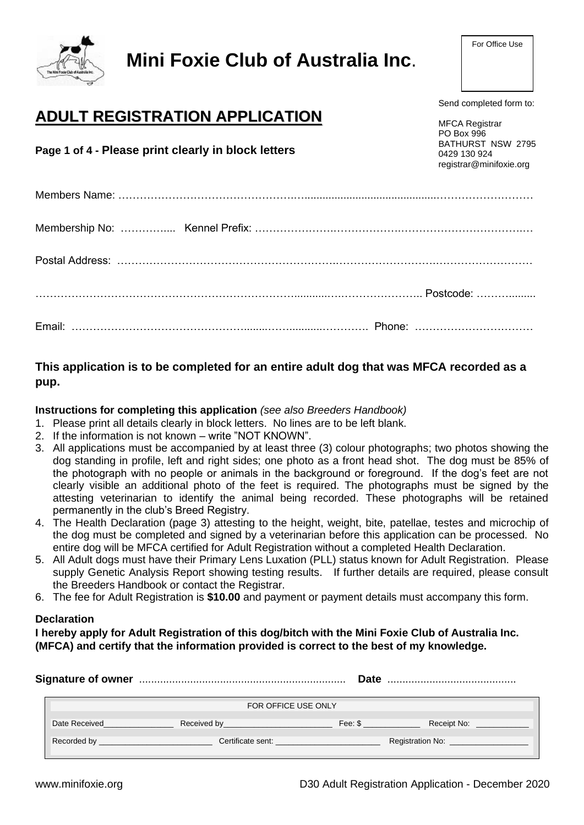

# **Mini Foxie Club of Australia Inc**.

Send completed form to:

## **ADULT REGISTRATION APPLICATION**

**Page 1 of 4 - Please print clearly in block letters**

MFCA Registrar PO Box 996 BATHURST NSW 2795 0429 130 924 [registrar@minifoxie.org](mailto:registrar@minifoxie.org)

### **This application is to be completed for an entire adult dog that was MFCA recorded as a pup.**

#### **Instructions for completing this application** *(see also Breeders Handbook)*

1. Please print all details clearly in block letters. No lines are to be left blank.

- 2. If the information is not known write "NOT KNOWN".
- 3. All applications must be accompanied by at least three (3) colour photographs; two photos showing the dog standing in profile, left and right sides; one photo as a front head shot. The dog must be 85% of the photograph with no people or animals in the background or foreground. If the dog's feet are not clearly visible an additional photo of the feet is required. The photographs must be signed by the attesting veterinarian to identify the animal being recorded. These photographs will be retained permanently in the club's Breed Registry.
- 4. The Health Declaration (page 3) attesting to the height, weight, bite, patellae, testes and microchip of the dog must be completed and signed by a veterinarian before this application can be processed. No entire dog will be MFCA certified for Adult Registration without a completed Health Declaration.
- 5. All Adult dogs must have their Primary Lens Luxation (PLL) status known for Adult Registration. Please supply Genetic Analysis Report showing testing results. If further details are required, please consult the Breeders Handbook or contact the Registrar.
- 6. The fee for Adult Registration is **\$10.00** and payment or payment details must accompany this form.

#### **Declaration**

**I hereby apply for Adult Registration of this dog/bitch with the Mini Foxie Club of Australia Inc. (MFCA) and certify that the information provided is correct to the best of my knowledge.**

|                                                                            |                     |                                                                                                                                    | Date                                                                                                            |                                                                                                                 |  |  |
|----------------------------------------------------------------------------|---------------------|------------------------------------------------------------------------------------------------------------------------------------|-----------------------------------------------------------------------------------------------------------------|-----------------------------------------------------------------------------------------------------------------|--|--|
|                                                                            | FOR OFFICE USE ONLY |                                                                                                                                    |                                                                                                                 |                                                                                                                 |  |  |
|                                                                            | Date Received       | Received by <b>Example 20</b> Received by                                                                                          | Fee: \$ Present and the set of the set of the set of the set of the set of the set of the set of the set of the | Receipt No: The Contract of the Contract of the Contract of the Contract of the Contract of the Contract of the |  |  |
| Recorded by<br>the control of the control of the control of the control of |                     | Certificate sent: experience of the control of the control of the control of the control of the control of the<br>Registration No: |                                                                                                                 |                                                                                                                 |  |  |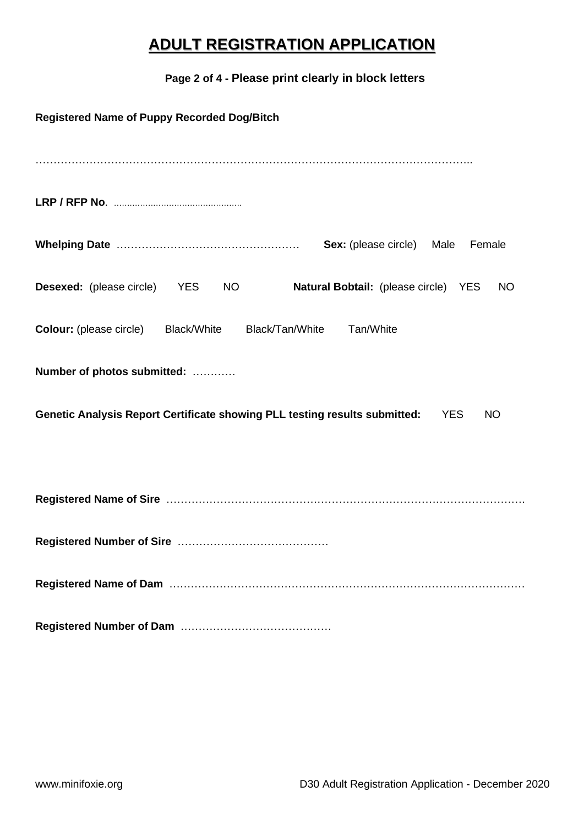## **ADULT REGISTRATION APPLICATION**

### **Page 2 of 4 - Please print clearly in block letters**

| <b>Registered Name of Puppy Recorded Dog/Bitch</b>                                                          |  |  |  |  |  |
|-------------------------------------------------------------------------------------------------------------|--|--|--|--|--|
|                                                                                                             |  |  |  |  |  |
|                                                                                                             |  |  |  |  |  |
| <b>Sex:</b> (please circle) Male<br>Female                                                                  |  |  |  |  |  |
| <b>Desexed:</b> (please circle) YES<br>NO <sub>1</sub><br>Natural Bobtail: (please circle) YES<br><b>NO</b> |  |  |  |  |  |
| <b>Colour:</b> (please circle) Black/White<br>Black/Tan/White<br>Tan/White                                  |  |  |  |  |  |
| Number of photos submitted:                                                                                 |  |  |  |  |  |
| Genetic Analysis Report Certificate showing PLL testing results submitted:<br><b>NO</b><br><b>YES</b>       |  |  |  |  |  |
|                                                                                                             |  |  |  |  |  |
|                                                                                                             |  |  |  |  |  |
|                                                                                                             |  |  |  |  |  |
|                                                                                                             |  |  |  |  |  |
|                                                                                                             |  |  |  |  |  |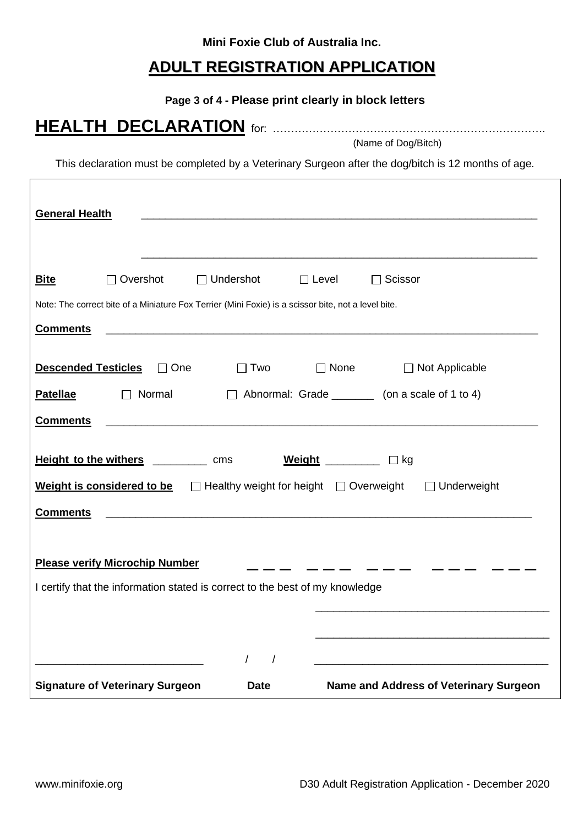**Mini Foxie Club of Australia Inc.**

### **ADULT REGISTRATION APPLICATION**

**Page 3 of 4 - Please print clearly in block letters**

(Name of Dog/Bitch)

**HEALTH DECLARATION** for: ………………………………………………………………….

This declaration must be completed by a Veterinary Surgeon after the dog/bitch is 12 months of age.

| <b>General Health</b>                                                                                                                                                                                                                                  |                                                                                                     |                                                            |              |                                                          |  |  |  |
|--------------------------------------------------------------------------------------------------------------------------------------------------------------------------------------------------------------------------------------------------------|-----------------------------------------------------------------------------------------------------|------------------------------------------------------------|--------------|----------------------------------------------------------|--|--|--|
|                                                                                                                                                                                                                                                        |                                                                                                     |                                                            |              |                                                          |  |  |  |
| <b>Bite</b>                                                                                                                                                                                                                                            | $\Box$ Overshot                                                                                     | $\Box$ Undershot                                           | $\Box$ Level | $\Box$ Scissor                                           |  |  |  |
|                                                                                                                                                                                                                                                        | Note: The correct bite of a Miniature Fox Terrier (Mini Foxie) is a scissor bite, not a level bite. |                                                            |              |                                                          |  |  |  |
| <b>Comments</b>                                                                                                                                                                                                                                        |                                                                                                     | <u> 1980 - Johann Barn, amerikansk politiker (d. 1980)</u> |              |                                                          |  |  |  |
|                                                                                                                                                                                                                                                        | Descended Testicles<br><u>Descended</u> Testicles <sub>D</sub> One                                  |                                                            | $\Box$ Two   | □ None □ Not Applicable                                  |  |  |  |
| <b>Patellae</b>                                                                                                                                                                                                                                        | $\Box$ Normal                                                                                       |                                                            |              | $\Box$ Abnormal: Grade __________ (on a scale of 1 to 4) |  |  |  |
| <b>Comments</b>                                                                                                                                                                                                                                        |                                                                                                     |                                                            |              |                                                          |  |  |  |
| Height to the withers ___________ cms Weight __________ Dkg                                                                                                                                                                                            |                                                                                                     |                                                            |              |                                                          |  |  |  |
| <b>Weight is considered to be</b> $\Box$ Healthy weight for height $\Box$ Overweight<br>$\Box$ Underweight<br><b>Comments</b><br><u> 1980 - Johann Barn, amerikan besteman besteman besteman besteman besteman besteman besteman besteman besteman</u> |                                                                                                     |                                                            |              |                                                          |  |  |  |
|                                                                                                                                                                                                                                                        |                                                                                                     |                                                            |              |                                                          |  |  |  |
|                                                                                                                                                                                                                                                        | <b>Please verify Microchip Number</b>                                                               |                                                            |              |                                                          |  |  |  |
| I certify that the information stated is correct to the best of my knowledge                                                                                                                                                                           |                                                                                                     |                                                            |              |                                                          |  |  |  |
|                                                                                                                                                                                                                                                        |                                                                                                     |                                                            |              |                                                          |  |  |  |
|                                                                                                                                                                                                                                                        |                                                                                                     |                                                            |              |                                                          |  |  |  |
|                                                                                                                                                                                                                                                        |                                                                                                     | $\prime$                                                   | $\sqrt{2}$   |                                                          |  |  |  |
|                                                                                                                                                                                                                                                        | <b>Signature of Veterinary Surgeon</b>                                                              | <b>Date</b>                                                |              | <b>Name and Address of Veterinary Surgeon</b>            |  |  |  |